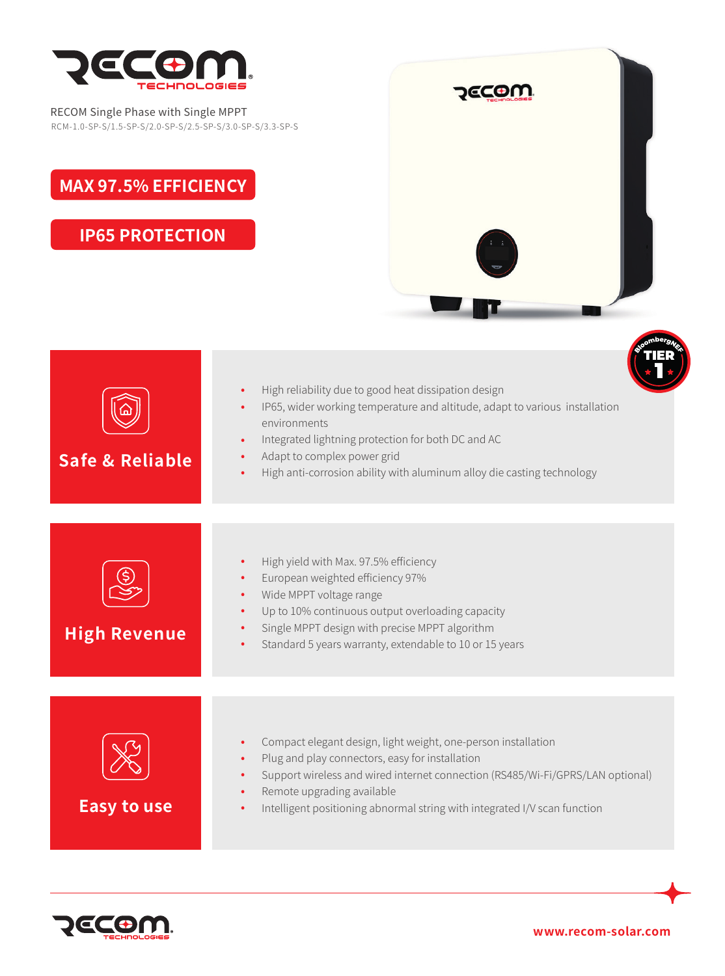

RECOM Single Phase with Single MPPT RCM-1.0-SP-S/1.5-SP-S/2.0-SP-S/2.5-SP-S/3.0-SP-S/3.3-SP-S

## **MAX 97.5% EFFICIENCY**

**IP65 PROTECTION**



| Safe & Reliable     | High reliability due to good heat dissipation design<br>$\bullet$<br>IP65, wider working temperature and altitude, adapt to various installation<br>environments<br>Integrated lightning protection for both DC and AC<br>Adapt to complex power grid<br>High anti-corrosion ability with aluminum alloy die casting technology |
|---------------------|---------------------------------------------------------------------------------------------------------------------------------------------------------------------------------------------------------------------------------------------------------------------------------------------------------------------------------|
| <b>High Revenue</b> | High yield with Max. 97.5% efficiency<br>European weighted efficiency 97%<br>Wide MPPT voltage range<br>Up to 10% continuous output overloading capacity<br>Single MPPT design with precise MPPT algorithm<br>Standard 5 years warranty, extendable to 10 or 15 years                                                           |
| <b>Easy to use</b>  | Compact elegant design, light weight, one-person installation<br>Plug and play connectors, easy for installation<br>Support wireless and wired internet connection (RS485/Wi-Fi/GPRS/LAN optional)<br>$\bullet$<br>Remote upgrading available<br>Intelligent positioning abnormal string with integrated I/V scan function      |



**www.recom-solar.com**